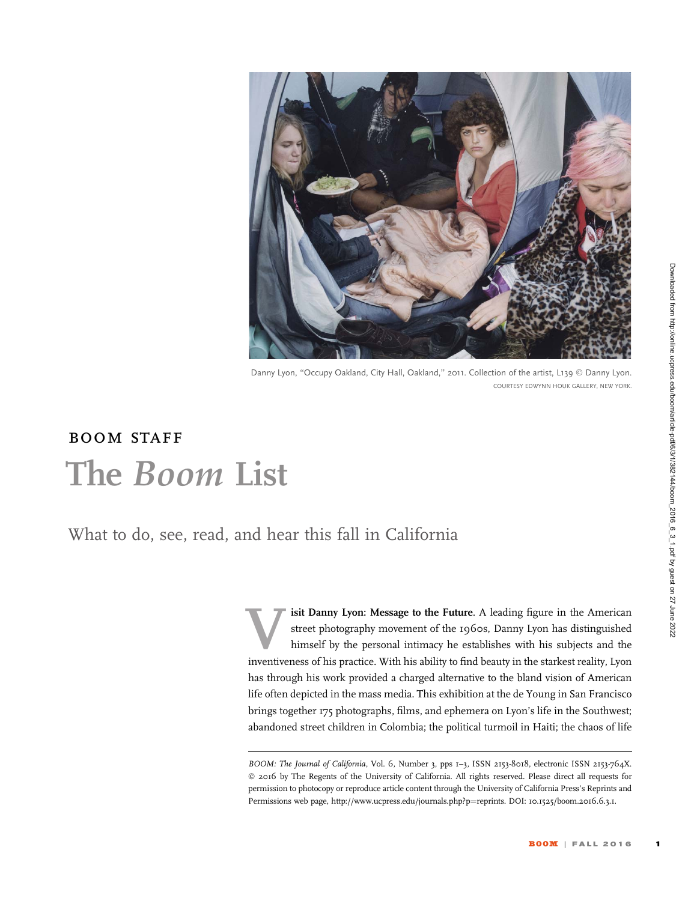

Danny Lyon, ''Occupy Oakland, City Hall, Oakland,'' 2011. Collection of the artist, L139 © Danny Lyon. COURTESY EDWYNN HOUK GALLERY, NEW YORK.

## boom staff The Boom List

What to do, see, read, and hear this fall in California

isit Danny Lyon: Message to the Future. A leading figure in the American street photography movement of the 1960s, Danny Lyon has distinguished himself by the personal intimacy he establishes with his subjects and the inventiveness of his practice. With his ability to find beauty in the starkest reality, Lyon has through his work provided a charged alternative to the bland vision of American life often depicted in the mass media. This exhibition at the de Young in San Francisco brings together 175 photographs, films, and ephemera on Lyon's life in the Southwest; abandoned street children in Colombia; the political turmoil in Haiti; the chaos of life

BOOM: The Journal of California, Vol. 6, Number 3, pps 1-3, ISSN 2153-8018, electronic ISSN 2153-764X. © 2016 by The Regents of the University of California. All rights reserved. Please direct all requests for permission to photocopy or reproduce article content through the University of California Press's Reprints and Permissions web page, http://www.ucpress.edu/journals.php?p=reprints. DOI: 10.1525/boom.2016.6.3.1.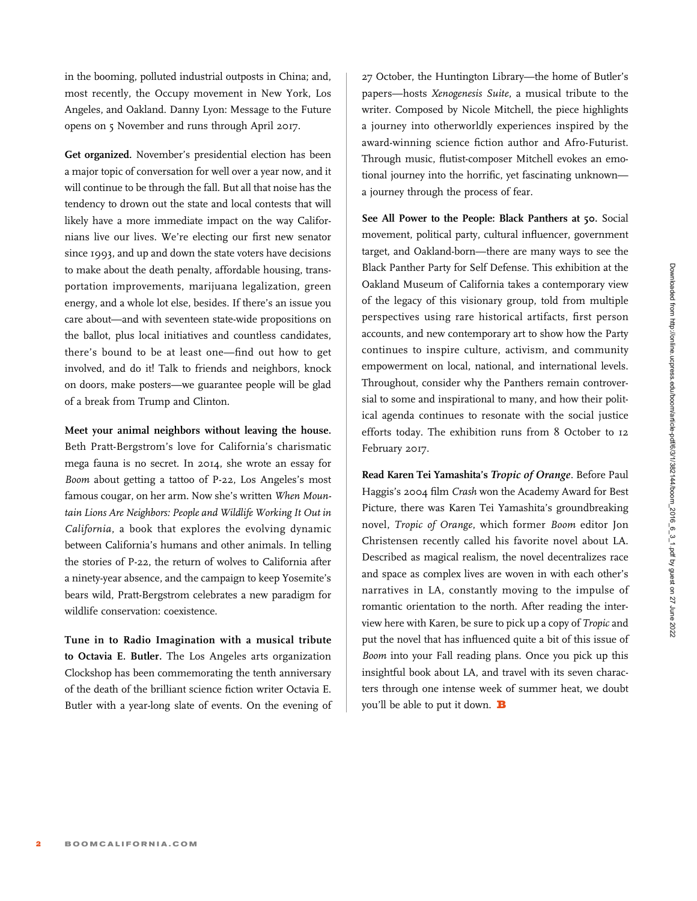in the booming, polluted industrial outposts in China; and, most recently, the Occupy movement in New York, Los Angeles, and Oakland. Danny Lyon: Message to the Future opens on 5 November and runs through April 2017.

Get organized. November's presidential election has been a major topic of conversation for well over a year now, and it will continue to be through the fall. But all that noise has the tendency to drown out the state and local contests that will likely have a more immediate impact on the way Californians live our lives. We're electing our first new senator since 1993, and up and down the state voters have decisions to make about the death penalty, affordable housing, transportation improvements, marijuana legalization, green energy, and a whole lot else, besides. If there's an issue you care about—and with seventeen state-wide propositions on the ballot, plus local initiatives and countless candidates, there's bound to be at least one—find out how to get involved, and do it! Talk to friends and neighbors, knock on doors, make posters—we guarantee people will be glad of a break from Trump and Clinton.

Meet your animal neighbors without leaving the house. Beth Pratt-Bergstrom's love for California's charismatic mega fauna is no secret. In 2014, she wrote an essay for Boom about getting a tattoo of P-22, Los Angeles's most famous cougar, on her arm. Now she's written When Mountain Lions Are Neighbors: People and Wildlife Working It Out in California, a book that explores the evolving dynamic between California's humans and other animals. In telling the stories of P-22, the return of wolves to California after a ninety-year absence, and the campaign to keep Yosemite's bears wild, Pratt-Bergstrom celebrates a new paradigm for wildlife conservation: coexistence.

Tune in to Radio Imagination with a musical tribute to Octavia E. Butler. The Los Angeles arts organization Clockshop has been commemorating the tenth anniversary of the death of the brilliant science fiction writer Octavia E. Butler with a year-long slate of events. On the evening of

27 October, the Huntington Library—the home of Butler's papers—hosts Xenogenesis Suite, a musical tribute to the writer. Composed by Nicole Mitchell, the piece highlights a journey into otherworldly experiences inspired by the award-winning science fiction author and Afro-Futurist. Through music, flutist-composer Mitchell evokes an emotional journey into the horrific, yet fascinating unknown a journey through the process of fear.

See All Power to the People: Black Panthers at 50. Social movement, political party, cultural influencer, government target, and Oakland-born—there are many ways to see the Black Panther Party for Self Defense. This exhibition at the Oakland Museum of California takes a contemporary view of the legacy of this visionary group, told from multiple perspectives using rare historical artifacts, first person accounts, and new contemporary art to show how the Party continues to inspire culture, activism, and community empowerment on local, national, and international levels. Throughout, consider why the Panthers remain controversial to some and inspirational to many, and how their political agenda continues to resonate with the social justice efforts today. The exhibition runs from 8 October to 12 February 2017.

Read Karen Tei Yamashita's Tropic of Orange. Before Paul Haggis's 2004 film Crash won the Academy Award for Best Picture, there was Karen Tei Yamashita's groundbreaking novel, Tropic of Orange, which former Boom editor Jon Christensen recently called his favorite novel about LA. Described as magical realism, the novel decentralizes race and space as complex lives are woven in with each other's narratives in LA, constantly moving to the impulse of romantic orientation to the north. After reading the interview here with Karen, be sure to pick up a copy of Tropic and put the novel that has influenced quite a bit of this issue of Boom into your Fall reading plans. Once you pick up this insightful book about LA, and travel with its seven characters through one intense week of summer heat, we doubt you'll be able to put it down.  $\mathbf B$